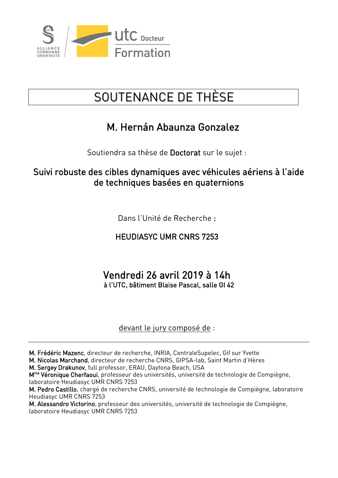

# SOUTENANCE DE THÈSE

## M. Hernán Abaunza Gonzalez

Soutiendra sa thèse de Doctorat sur le sujet :

### Suivi robuste des cibles dynamiques avec véhicules aériens à l'aide de techniques basées en quaternions

Dans l'Unité de Recherche :

### HEUDIASYC UMR CNRS 7253

### Vendredi 26 avril 2019 à 14h à l'UTC, bâtiment Blaise Pascal, salle GI 42

devant le jury composé de :

M. Frédéric Mazenc, directeur de recherche, INRIA, CentraleSupelec, Gif sur Yvette

M. Nicolas Marchand, directeur de recherche CNRS, GIPSA-lab, Saint Martin d'Hères

M. Sergey Drakunov, full professor, ERAU, Daytona Beach, USA

M<sup>me</sup> Véronique Cherfaoui, professeur des universités, université de technologie de Compiègne, laboratoire Heudiasyc UMR CNRS 7253

M. Pedro Castillo, chargé de recherche CNRS, université de technologie de Compiègne, laboratoire Heudiasyc UMR CNRS 7253

M. Alessandro Victorino, professeur des universités, université de technologie de Compiègne, laboratoire Heudiasyc UMR CNRS 7253